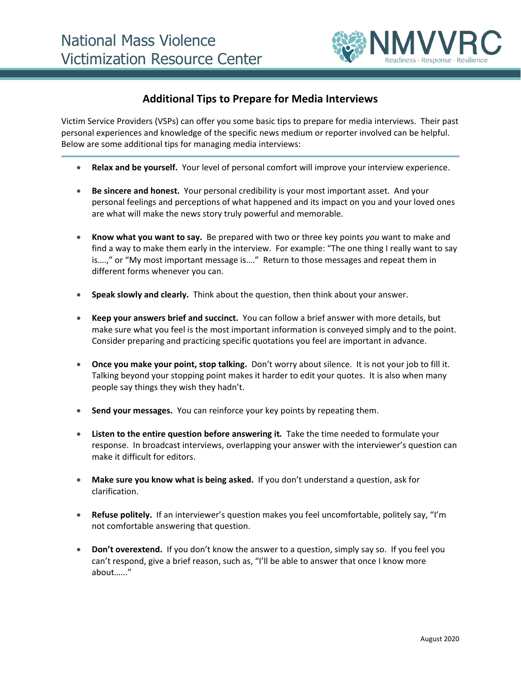

## **Additional Tips to Prepare for Media Interviews**

Victim Service Providers (VSPs) can offer you some basic tips to prepare for media interviews. Their past personal experiences and knowledge of the specific news medium or reporter involved can be helpful. Below are some additional tips for managing media interviews:

- **Relax and be yourself.** Your level of personal comfort will improve your interview experience.
- **Be sincere and honest.** Your personal credibility is your most important asset. And your personal feelings and perceptions of what happened and its impact on you and your loved ones are what will make the news story truly powerful and memorable.
- **Know what you want to say.** Be prepared with two or three key points *you* want to make and find a way to make them early in the interview. For example: "The one thing I really want to say is….," or "My most important message is…." Return to those messages and repeat them in different forms whenever you can.
- **Speak slowly and clearly.** Think about the question, then think about your answer.
- **Keep your answers brief and succinct.** You can follow a brief answer with more details, but make sure what you feel is the most important information is conveyed simply and to the point. Consider preparing and practicing specific quotations you feel are important in advance.
- **Once you make your point, stop talking.** Don't worry about silence. It is not your job to fill it. Talking beyond your stopping point makes it harder to edit your quotes. It is also when many people say things they wish they hadn't.
- **Send your messages.** You can reinforce your key points by repeating them.
- **Listen to the entire question before answering it***.* Take the time needed to formulate your response. In broadcast interviews, overlapping your answer with the interviewer's question can make it difficult for editors.
- **Make sure you know what is being asked.** If you don't understand a question, ask for clarification.
- **Refuse politely.** If an interviewer's question makes you feel uncomfortable, politely say, "I'm not comfortable answering that question.
- **Don't overextend.** If you don't know the answer to a question, simply say so. If you feel you can't respond, give a brief reason, such as, "I'll be able to answer that once I know more about…..."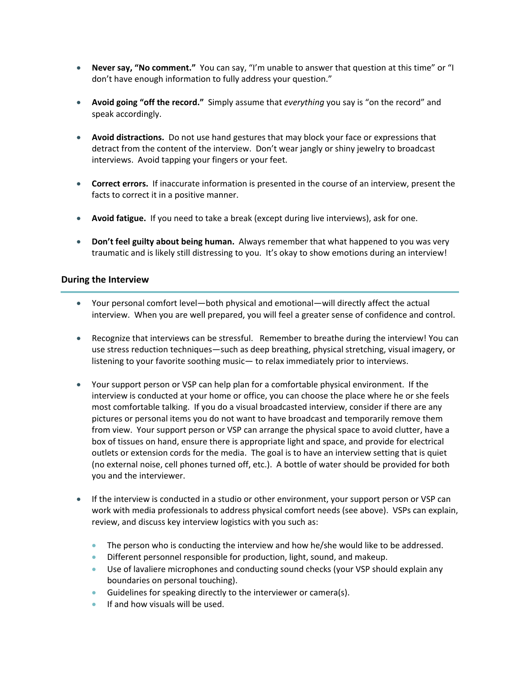- **Never say, "No comment."** You can say, "I'm unable to answer that question at this time" or "I don't have enough information to fully address your question."
- **Avoid going "off the record."** Simply assume that *everything* you say is "on the record" and speak accordingly.
- **Avoid distractions.** Do not use hand gestures that may block your face or expressions that detract from the content of the interview. Don't wear jangly or shiny jewelry to broadcast interviews. Avoid tapping your fingers or your feet.
- **Correct errors.**If inaccurate information is presented in the course of an interview, present the facts to correct it in a positive manner.
- **Avoid fatigue.** If you need to take a break (except during live interviews), ask for one.
- **Don't feel guilty about being human.** Always remember that what happened to you was very traumatic and is likely still distressing to you. It's okay to show emotions during an interview!

## **During the Interview**

- Your personal comfort level—both physical and emotional—will directly affect the actual interview. When you are well prepared, you will feel a greater sense of confidence and control.
- Recognize that interviews can be stressful. Remember to breathe during the interview! You can use stress reduction techniques—such as deep breathing, physical stretching, visual imagery, or listening to your favorite soothing music— to relax immediately prior to interviews.
- Your support person or VSP can help plan for a comfortable physical environment. If the interview is conducted at your home or office, you can choose the place where he or she feels most comfortable talking. If you do a visual broadcasted interview, consider if there are any pictures or personal items you do not want to have broadcast and temporarily remove them from view. Your support person or VSP can arrange the physical space to avoid clutter, have a box of tissues on hand, ensure there is appropriate light and space, and provide for electrical outlets or extension cords for the media. The goal is to have an interview setting that is quiet (no external noise, cell phones turned off, etc.). A bottle of water should be provided for both you and the interviewer.
- If the interview is conducted in a studio or other environment, your support person or VSP can work with media professionals to address physical comfort needs (see above). VSPs can explain, review, and discuss key interview logistics with you such as:
	- The person who is conducting the interview and how he/she would like to be addressed.
	- Different personnel responsible for production, light, sound, and makeup.
	- Use of lavaliere microphones and conducting sound checks (your VSP should explain any boundaries on personal touching).
	- Guidelines for speaking directly to the interviewer or camera(s).
	- If and how visuals will be used.